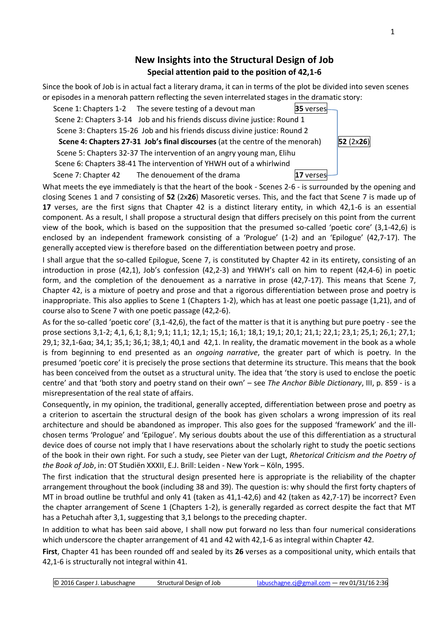## **New Insights into the Structural Design of Job Special attention paid to the position of 42,1-6**

Since the book of Job is in actual fact a literary drama, it can in terms of the plot be divided into seven scenes or episodes in a menorah pattern reflecting the seven interrelated stages in the dramatic story:

Scene 1: Chapters 1-2 The severe testing of a devout man **35** verses Scene 2: Chapters 3-14 Job and his friends discuss divine justice: Round 1 Scene 3: Chapters 15-26 Job and his friends discuss divine justice: Round 2  **Scene 4: Chapters 27-31 Job's final discourses** (at the centre of the menorah) **52** (2x**26**) Scene 5: Chapters 32-37 The intervention of an angry young man, Elihu Scene 6: Chapters 38-41 The intervention of YHWH out of a whirlwind Scene 7: Chapter 42 The denouement of the drama **17** verses

What meets the eye immediately is that the heart of the book - Scenes 2-6 - is surrounded by the opening and closing Scenes 1 and 7 consisting of **52** (2x**26**) Masoretic verses. This, and the fact that Scene 7 is made up of **17** verses, are the first signs that Chapter 42 is a distinct literary entity, in which 42,1-6 is an essential component. As a result, I shall propose a structural design that differs precisely on this point from the current view of the book, which is based on the supposition that the presumed so-called 'poetic core' (3,1-42,6) is enclosed by an independent framework consisting of a 'Prologue' (1-2) and an 'Epilogue' (42,7-17). The generally accepted view is therefore based on the differentiation between poetry and prose.

I shall argue that the so-called Epilogue, Scene 7, is constituted by Chapter 42 in its entirety, consisting of an introduction in prose (42,1), Job's confession (42,2-3) and YHWH's call on him to repent (42,4-6) in poetic form, and the completion of the denouement as a narrative in prose (42,7-17). This means that Scene 7, Chapter 42, is a mixture of poetry and prose and that a rigorous differentiation between prose and poetry is inappropriate. This also applies to Scene 1 (Chapters 1-2), which has at least one poetic passage (1,21), and of course also to Scene 7 with one poetic passage (42,2-6).

As for the so-called 'poetic core' (3,1-42,6), the fact of the matter is that it is anything but pure poetry - see the prose sections 3,1-2; 4,1, 6,1; 8,1; 9,1; 11,1; 12,1; 15,1; 16,1; 18,1; 19,1; 20,1; 21,1; 22,1; 23,1; 25,1; 26,1; 27,1; 29,1; 32,1-6aα; 34,1; 35,1; 36,1; 38,1; 40,1 and 42,1. In reality, the dramatic movement in the book as a whole is from beginning to end presented as an *ongoing narrative*, the greater part of which is poetry. In the presumed 'poetic core' it is precisely the prose sections that determine its structure. This means that the book has been conceived from the outset as a structural unity. The idea that 'the story is used to enclose the poetic centre' and that 'both story and poetry stand on their own' – see *The Anchor Bible Dictionary*, III, p. 859 - is a misrepresentation of the real state of affairs.

Consequently, in my opinion, the traditional, generally accepted, differentiation between prose and poetry as a criterion to ascertain the structural design of the book has given scholars a wrong impression of its real architecture and should be abandoned as improper. This also goes for the supposed 'framework' and the illchosen terms 'Prologue' and 'Epilogue'. My serious doubts about the use of this differentiation as a structural device does of course not imply that I have reservations about the scholarly right to study the poetic sections of the book in their own right. For such a study, see Pieter van der Lugt, *Rhetorical Criticism and the Poetry of the Book of Job*, in: OT Studiën XXXII, E.J. Brill: Leiden - New York – Köln, 1995.

The first indication that the structural design presented here is appropriate is the reliability of the chapter arrangement throughout the book (including 38 and 39). The question is: why should the first forty chapters of MT in broad outline be truthful and only 41 (taken as 41,1-42,6) and 42 (taken as 42,7-17) be incorrect? Even the chapter arrangement of Scene 1 (Chapters 1-2), is generally regarded as correct despite the fact that MT has a Petuchah after 3,1, suggesting that 3,1 belongs to the preceding chapter.

In addition to what has been said above, I shall now put forward no less than four numerical considerations which underscore the chapter arrangement of 41 and 42 with 42,1-6 as integral within Chapter 42.

**First**, Chapter 41 has been rounded off and sealed by its **26** verses as a compositional unity, which entails that 42,1-6 is structurally not integral within 41.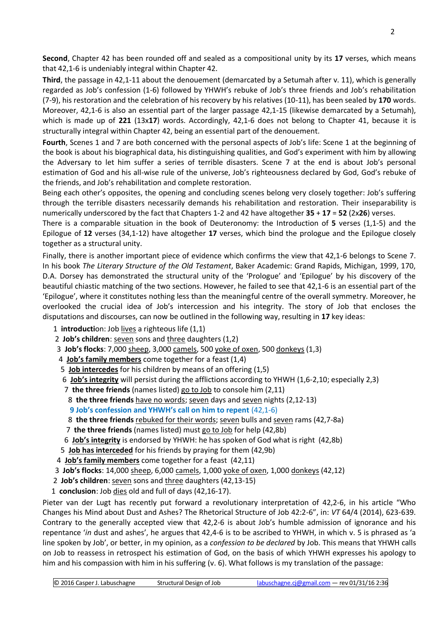**Second**, Chapter 42 has been rounded off and sealed as a compositional unity by its **17** verses, which means that 42,1-6 is undeniably integral within Chapter 42.

**Third**, the passage in 42,1-11 about the denouement (demarcated by a Setumah after v. 11), which is generally regarded as Job's confession (1-6) followed by YHWH's rebuke of Job's three friends and Job's rehabilitation (7-9), his restoration and the celebration of his recovery by his relatives (10-11), has been sealed by **170** words. Moreover, 42,1-6 is also an essential part of the larger passage 42,1-15 (likewise demarcated by a Setumah), which is made up of **221** (13x**17**) words. Accordingly, 42,1-6 does not belong to Chapter 41, because it is structurally integral within Chapter 42, being an essential part of the denouement.

**Fourth**, Scenes 1 and 7 are both concerned with the personal aspects of Job's life: Scene 1 at the beginning of the book is about his biographical data, his distinguishing qualities, and God's experiment with him by allowing the Adversary to let him suffer a series of terrible disasters. Scene 7 at the end is about Job's personal estimation of God and his all-wise rule of the universe, Job's righteousness declared by God, God's rebuke of the friends, and Job's rehabilitation and complete restoration.

Being each other's opposites, the opening and concluding scenes belong very closely together: Job's suffering through the terrible disasters necessarily demands his rehabilitation and restoration. Their inseparability is numerically underscored by the fact that Chapters 1-2 and 42 have altogether **35** + **17** = **52** (2x**26**) verses.

There is a comparable situation in the book of Deuteronomy: the Introduction of **5** verses (1,1-5) and the Epilogue of **12** verses (34,1-12) have altogether **17** verses, which bind the prologue and the Epilogue closely together as a structural unity.

Finally, there is another important piece of evidence which confirms the view that 42,1-6 belongs to Scene 7. In his book *The Literary Structure of the Old Testament*, Baker Academic: Grand Rapids, Michigan, 1999, 170, D.A. Dorsey has demonstrated the structural unity of the 'Prologue' and 'Epilogue' by his discovery of the beautiful chiastic matching of the two sections. However, he failed to see that 42,1-6 is an essential part of the 'Epilogue', where it constitutes nothing less than the meaningful centre of the overall symmetry. Moreover, he overlooked the crucial idea of Job's intercession and his integrity. The story of Job that encloses the disputations and discourses, can now be outlined in the following way, resulting in **17** key ideas:

1 **introducti**on: Job lives a righteous life (1,1)

- 2 **Job's children**: seven sons and three daughters (1,2)
- 3 **Job's flocks**: 7,000 sheep, 3,000 camels, 500 yoke of oxen, 500 donkeys (1,3)
- 4 **Job's family members** come together for a feast (1,4)
- 5 **Job intercedes** for his children by means of an offering (1,5)
- 6 **Job's integrity** will persist during the afflictions according to YHWH (1,6-2,10; especially 2,3)
- 7 **the three friends** (names listed) go to Job to console him (2,11)
- 8 **the three friends** have no words; seven days and seven nights (2,12-13)
- **9 Job's confession and YHWH's call on him to repent** (42,1-6)
- 8 **the three friends** rebuked for their words; seven bulls and seven rams (42,7-8a)
- 7 **the three friends** (names listed) must go to Job for help (42,8b)
- 6 **Job's integrity** is endorsed by YHWH: he has spoken of God what is right (42,8b)
- 5 **Job has interceded** for his friends by praying for them (42,9b)
- 4 **Job's family members** come together for a feast (42,11)
- 3 **Job's flocks**: 14,000 sheep, 6,000 camels, 1,000 yoke of oxen, 1,000 donkeys (42,12)
- 2 **Job's children**: seven sons and three daughters (42,13-15)
- 1 **conclusion**: Job dies old and full of days (42,16-17).

Pieter van der Lugt has recently put forward a revolutionary interpretation of 42,2-6, in his article "Who Changes his Mind about Dust and Ashes? The Rhetorical Structure of Job 42:2-6", in: *VT* 64/4 (2014), 623-639. Contrary to the generally accepted view that 42,2-6 is about Job's humble admission of ignorance and his repentance '*in* dust and ashes', he argues that 42,4-6 is to be ascribed to YHWH, in which v. 5 is phrased as 'a line spoken by Job', or better, in my opinion, as a *confession to be declared* by Job. This means that YHWH calls on Job to reassess in retrospect his estimation of God, on the basis of which YHWH expresses his apology to him and his compassion with him in his suffering (v. 6). What follows is my translation of the passage: